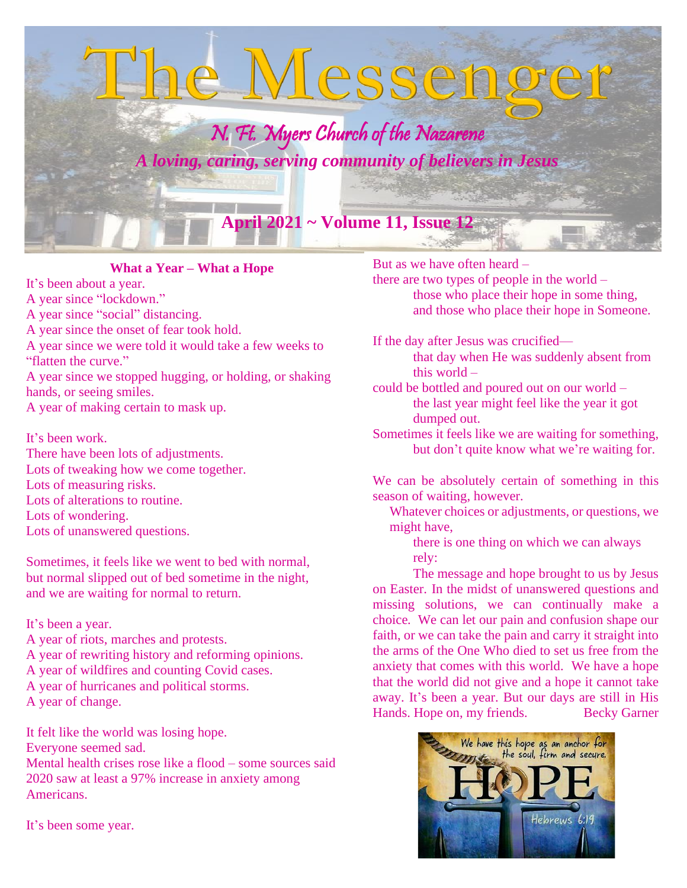

**What a Year – What a Hope**

It's been about a year. A year since "lockdown."

A year since "social" distancing.

A year since the onset of fear took hold.

A year since we were told it would take a few weeks to "flatten the curve."

A year since we stopped hugging, or holding, or shaking hands, or seeing smiles.

A year of making certain to mask up.

It's been work. There have been lots of adjustments. Lots of tweaking how we come together. Lots of measuring risks. Lots of alterations to routine. Lots of wondering. Lots of unanswered questions.

Sometimes, it feels like we went to bed with normal, but normal slipped out of bed sometime in the night, and we are waiting for normal to return.

It's been a year.

A year of riots, marches and protests. A year of rewriting history and reforming opinions.

A year of wildfires and counting Covid cases.

A year of hurricanes and political storms.

A year of change.

It felt like the world was losing hope. Everyone seemed sad. Mental health crises rose like a flood – some sources said 2020 saw at least a 97% increase in anxiety among Americans.

It's been some year.

But as we have often heard –

there are two types of people in the world – those who place their hope in some thing, and those who place their hope in Someone.

If the day after Jesus was crucified that day when He was suddenly absent from

this world –

could be bottled and poured out on our world – the last year might feel like the year it got dumped out.

Sometimes it feels like we are waiting for something, but don't quite know what we're waiting for.

We can be absolutely certain of something in this season of waiting, however.

 Whatever choices or adjustments, or questions, we might have,

there is one thing on which we can always rely:

The message and hope brought to us by Jesus on Easter. In the midst of unanswered questions and missing solutions, we can continually make a choice*.* We can let our pain and confusion shape our faith, or we can take the pain and carry it straight into the arms of the One Who died to set us free from the anxiety that comes with this world. We have a hope that the world did not give and a hope it cannot take away. It's been a year. But our days are still in His Hands. Hope on, my friends. Becky Garner